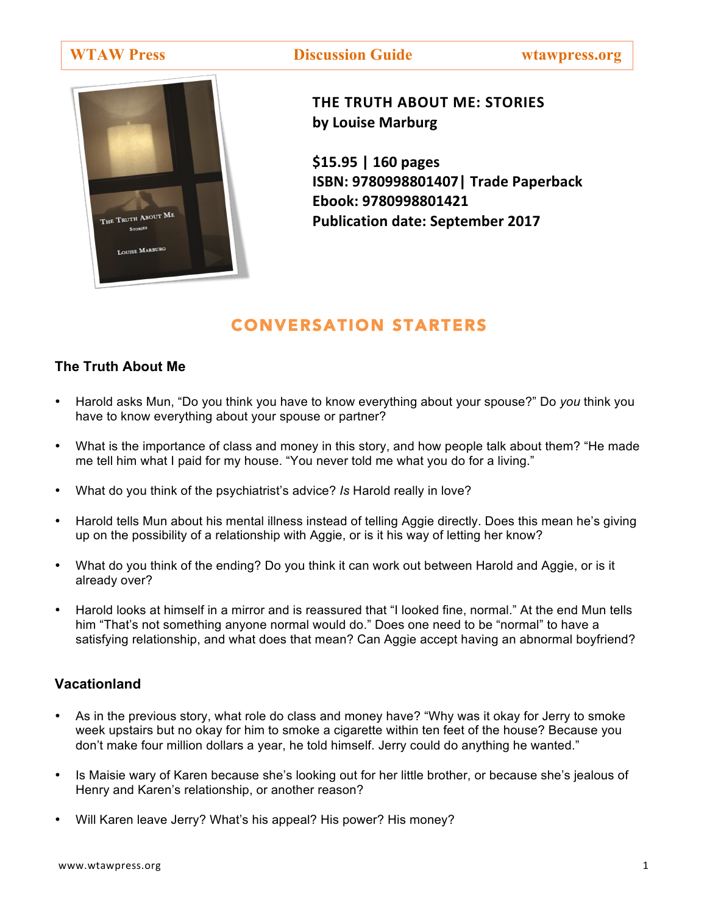**WTAW Press Discussion Guide wtawpress.org**



**THE TRUTH ABOUT ME: STORIES by Louise Marburg**

**\$15.95 | 160 pages ISBN: 9780998801407| Trade Paperback Ebook: 9780998801421 Publication date: September 2017** 

# CONVERSATION STARTERS

# **The Truth About Me**

- Harold asks Mun, "Do you think you have to know everything about your spouse?" Do *you* think you have to know everything about your spouse or partner?
- What is the importance of class and money in this story, and how people talk about them? "He made me tell him what I paid for my house. "You never told me what you do for a living."
- What do you think of the psychiatrist's advice? *Is* Harold really in love?
- Harold tells Mun about his mental illness instead of telling Aggie directly. Does this mean he's giving up on the possibility of a relationship with Aggie, or is it his way of letting her know?
- What do you think of the ending? Do you think it can work out between Harold and Aggie, or is it already over?
- Harold looks at himself in a mirror and is reassured that "I looked fine, normal." At the end Mun tells him "That's not something anyone normal would do." Does one need to be "normal" to have a satisfying relationship, and what does that mean? Can Aggie accept having an abnormal boyfriend?

# **Vacationland**

- As in the previous story, what role do class and money have? "Why was it okay for Jerry to smoke week upstairs but no okay for him to smoke a cigarette within ten feet of the house? Because you don't make four million dollars a year, he told himself. Jerry could do anything he wanted."
- Is Maisie wary of Karen because she's looking out for her little brother, or because she's jealous of Henry and Karen's relationship, or another reason?
- Will Karen leave Jerry? What's his appeal? His power? His money?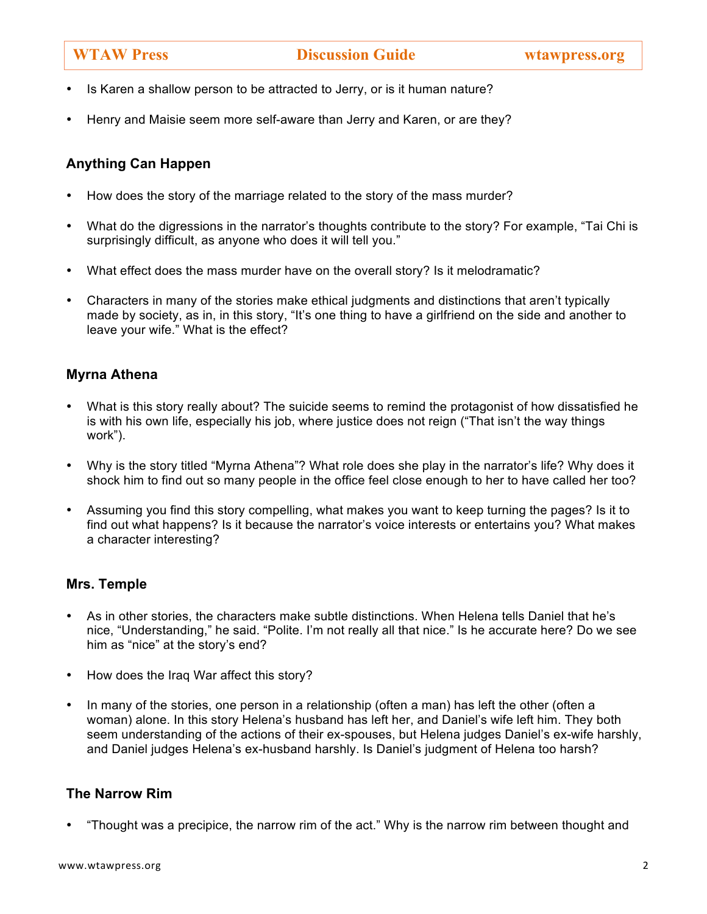- Is Karen a shallow person to be attracted to Jerry, or is it human nature?
- Henry and Maisie seem more self-aware than Jerry and Karen, or are they?

# **Anything Can Happen**

- How does the story of the marriage related to the story of the mass murder?
- What do the digressions in the narrator's thoughts contribute to the story? For example, "Tai Chi is surprisingly difficult, as anyone who does it will tell you."
- What effect does the mass murder have on the overall story? Is it melodramatic?
- Characters in many of the stories make ethical judgments and distinctions that aren't typically made by society, as in, in this story, "It's one thing to have a girlfriend on the side and another to leave your wife." What is the effect?

# **Myrna Athena**

- What is this story really about? The suicide seems to remind the protagonist of how dissatisfied he is with his own life, especially his job, where justice does not reign ("That isn't the way things work").
- Why is the story titled "Myrna Athena"? What role does she play in the narrator's life? Why does it shock him to find out so many people in the office feel close enough to her to have called her too?
- Assuming you find this story compelling, what makes you want to keep turning the pages? Is it to find out what happens? Is it because the narrator's voice interests or entertains you? What makes a character interesting?

### **Mrs. Temple**

- As in other stories, the characters make subtle distinctions. When Helena tells Daniel that he's nice, "Understanding," he said. "Polite. I'm not really all that nice." Is he accurate here? Do we see him as "nice" at the story's end?
- How does the Iraq War affect this story?
- In many of the stories, one person in a relationship (often a man) has left the other (often a woman) alone. In this story Helena's husband has left her, and Daniel's wife left him. They both seem understanding of the actions of their ex-spouses, but Helena judges Daniel's ex-wife harshly, and Daniel judges Helena's ex-husband harshly. Is Daniel's judgment of Helena too harsh?

### **The Narrow Rim**

• "Thought was a precipice, the narrow rim of the act." Why is the narrow rim between thought and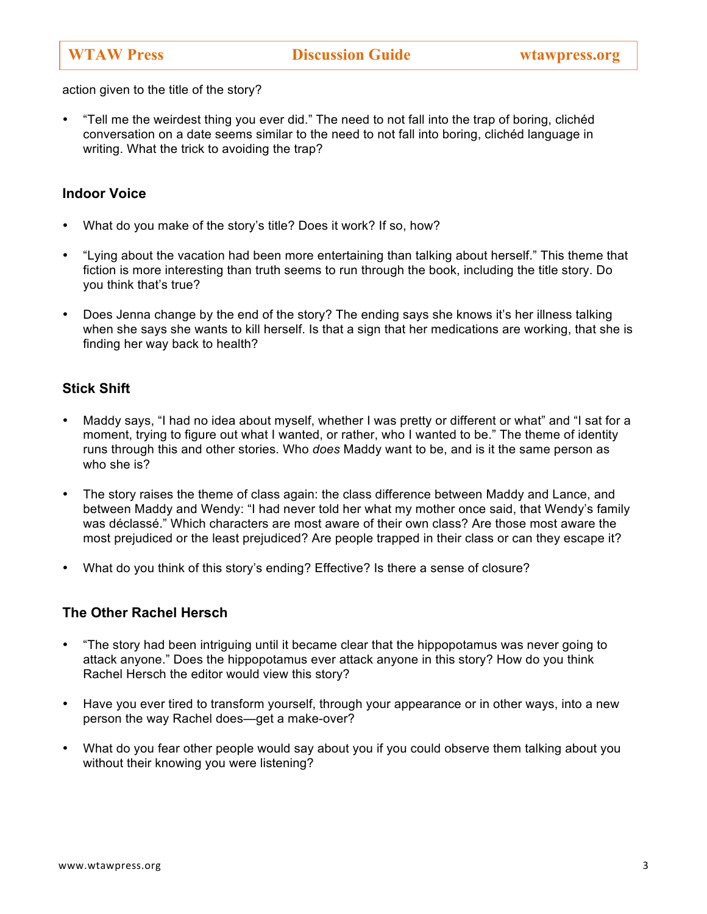action given to the title of the story?

• "Tell me the weirdest thing you ever did." The need to not fall into the trap of boring, clichéd conversation on a date seems similar to the need to not fall into boring, clichéd language in writing. What the trick to avoiding the trap?

#### **Indoor Voice**

- What do you make of the story's title? Does it work? If so, how?
- "Lying about the vacation had been more entertaining than talking about herself." This theme that fiction is more interesting than truth seems to run through the book, including the title story. Do you think that's true?
- Does Jenna change by the end of the story? The ending says she knows it's her illness talking when she says she wants to kill herself. Is that a sign that her medications are working, that she is finding her way back to health?

### **Stick Shift**

- Maddy says, "I had no idea about myself, whether I was pretty or different or what" and "I sat for a moment, trying to figure out what I wanted, or rather, who I wanted to be." The theme of identity runs through this and other stories. Who *does* Maddy want to be, and is it the same person as who she is?
- The story raises the theme of class again: the class difference between Maddy and Lance, and between Maddy and Wendy: "I had never told her what my mother once said, that Wendy's family was déclassé." Which characters are most aware of their own class? Are those most aware the most prejudiced or the least prejudiced? Are people trapped in their class or can they escape it?
- What do you think of this story's ending? Effective? Is there a sense of closure?

### **The Other Rachel Hersch**

- "The story had been intriguing until it became clear that the hippopotamus was never going to attack anyone." Does the hippopotamus ever attack anyone in this story? How do you think Rachel Hersch the editor would view this story?
- Have you ever tired to transform yourself, through your appearance or in other ways, into a new person the way Rachel does—get a make-over?
- What do you fear other people would say about you if you could observe them talking about you without their knowing you were listening?